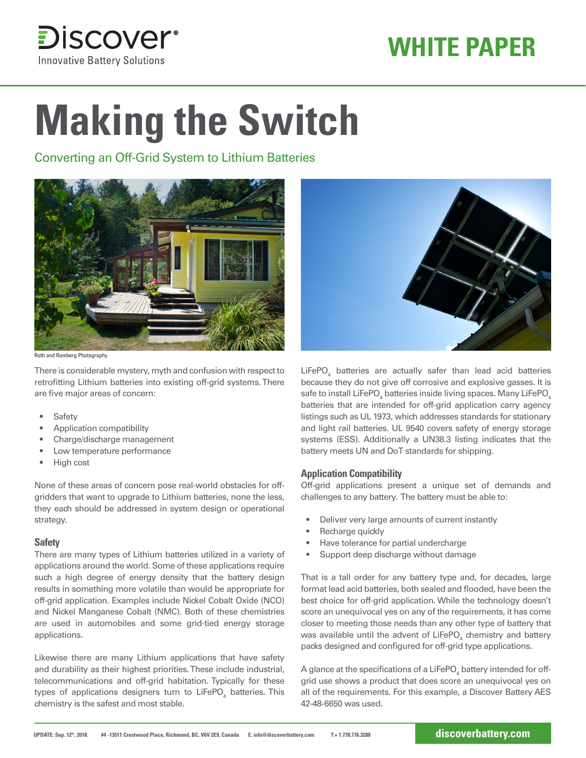

## **WHITE PAPER**

# **Making the Switch**

Converting an Off-Grid System to Lithium Batteries



Roth and Ramberg Photography

There is considerable mystery, myth and confusion with respect to retrofitting Lithium batteries into existing off-grid systems. There are five major areas of concern:

- **Safety**
- Application compatibility
- Charge/discharge management
- Low temperature performance
- High cost

None of these areas of concern pose real-world obstacles for offgridders that want to upgrade to Lithium batteries, none the less, they each should be addressed in system design or operational strategy.

#### **Safety**

There are many types of Lithium batteries utilized in a variety of applications around the world. Some of these applications require such a high degree of energy density that the battery design results in something more volatile than would be appropriate for off-grid application. Examples include Nickel Cobalt Oxide (NCO) and Nickel Manganese Cobalt (NMC). Both of these chemistries are used in automobiles and some grid-tied energy storage applications.

Likewise there are many Lithium applications that have safety and durability as their highest priorities. These include industrial, telecommunications and off-grid habitation. Typically for these types of applications designers turn to LiFePO $_{\scriptscriptstyle 4}$  batteries. This chemistry is the safest and most stable.



 $LiFePO<sub>4</sub>$  batteries are actually safer than lead acid batteries because they do not give off corrosive and explosive gasses. It is safe to install LiFePO $_{\scriptscriptstyle 4}$  batteries inside living spaces. Many LiFePO $_{\scriptscriptstyle 4}$ batteries that are intended for off-grid application carry agency listings such as UL 1973, which addresses standards for stationary and light rail batteries. UL 9540 covers safety of energy storage systems (ESS). Additionally a UN38.3 listing indicates that the battery meets UN and DoT standards for shipping.

#### **Application Compatibility**

Off-grid applications present a unique set of demands and challenges to any battery. The battery must be able to:

- Deliver very large amounts of current instantly
- Recharge quickly
- Have tolerance for partial undercharge
- Support deep discharge without damage

That is a tall order for any battery type and, for decades, large format lead acid batteries, both sealed and flooded, have been the best choice for off-grid application. While the technology doesn't score an unequivocal yes on any of the requirements, it has come closer to meeting those needs than any other type of battery that was available until the advent of LiFePO<sub>4</sub> chemistry and battery packs designed and configured for off-grid type applications.

A glance at the specifications of a LiFePO $_{\scriptscriptstyle 4}$  battery intended for offgrid use shows a product that does score an unequivocal yes on all of the requirements. For this example, a Discover Battery AES 42-48-6650 was used.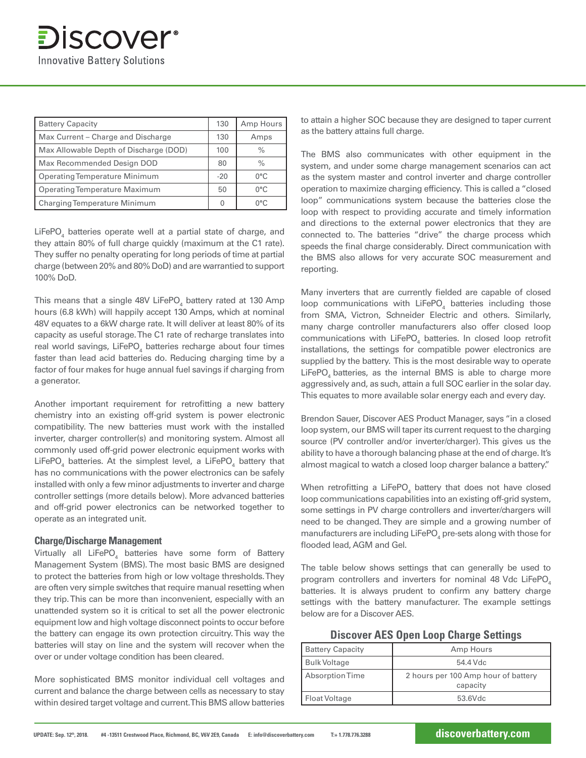| <b>Battery Capacity</b>                | 130   | Amp Hours     |
|----------------------------------------|-------|---------------|
| Max Current – Charge and Discharge     | 130   | Amps          |
| Max Allowable Depth of Discharge (DOD) | 100   | $\%$          |
| Max Recommended Design DOD             | 80    | $\%$          |
| <b>Operating Temperature Minimum</b>   | $-20$ | $0^{\circ}$ C |
| <b>Operating Temperature Maximum</b>   |       | $0^{\circ}$ C |
| <b>Charging Temperature Minimum</b>    |       | ∩°C           |

LiFePO<sub>4</sub> batteries operate well at a partial state of charge, and they attain 80% of full charge quickly (maximum at the C1 rate). They suffer no penalty operating for long periods of time at partial charge (between 20% and 80% DoD) and are warrantied to support 100% DoD.

This means that a single 48V LiFePO<sub>4</sub> battery rated at 130 Amp hours (6.8 kWh) will happily accept 130 Amps, which at nominal 48V equates to a 6kW charge rate. It will deliver at least 80% of its capacity as useful storage. The C1 rate of recharge translates into real world savings, LiFePO<sub>4</sub> batteries recharge about four times faster than lead acid batteries do. Reducing charging time by a factor of four makes for huge annual fuel savings if charging from a generator.

Another important requirement for retrofitting a new battery chemistry into an existing off-grid system is power electronic compatibility. The new batteries must work with the installed inverter, charger controller(s) and monitoring system. Almost all commonly used off-grid power electronic equipment works with LiFePO<sub>4</sub> batteries. At the simplest level, a LiFePO<sub>4</sub> battery that has no communications with the power electronics can be safely installed with only a few minor adjustments to inverter and charge controller settings (more details below). More advanced batteries and off-grid power electronics can be networked together to operate as an integrated unit.

#### **Charge/Discharge Management**

Virtually all LiFePO $_{\scriptscriptstyle 4}$  batteries have some form of Battery Management System (BMS). The most basic BMS are designed to protect the batteries from high or low voltage thresholds. They are often very simple switches that require manual resetting when they trip. This can be more than inconvenient, especially with an unattended system so it is critical to set all the power electronic equipment low and high voltage disconnect points to occur before the battery can engage its own protection circuitry. This way the batteries will stay on line and the system will recover when the over or under voltage condition has been cleared.

More sophisticated BMS monitor individual cell voltages and current and balance the charge between cells as necessary to stay within desired target voltage and current. This BMS allow batteries to attain a higher SOC because they are designed to taper current as the battery attains full charge.

The BMS also communicates with other equipment in the system, and under some charge management scenarios can act as the system master and control inverter and charge controller operation to maximize charging efficiency. This is called a "closed loop" communications system because the batteries close the loop with respect to providing accurate and timely information and directions to the external power electronics that they are connected to. The batteries "drive" the charge process which speeds the final charge considerably. Direct communication with the BMS also allows for very accurate SOC measurement and reporting.

Many inverters that are currently fielded are capable of closed loop communications with  $L$ iFePO<sub>4</sub> batteries including those from SMA, Victron, Schneider Electric and others. Similarly, many charge controller manufacturers also offer closed loop communications with  $L$ iFePO<sub>4</sub> batteries. In closed loop retrofit installations, the settings for compatible power electronics are supplied by the battery. This is the most desirable way to operate  $L$ iFePO<sub>4</sub> batteries, as the internal BMS is able to charge more aggressively and, as such, attain a full SOC earlier in the solar day. This equates to more available solar energy each and every day.

Brendon Sauer, Discover AES Product Manager, says "in a closed loop system, our BMS will taper its current request to the charging source (PV controller and/or inverter/charger). This gives us the ability to have a thorough balancing phase at the end of charge. It's almost magical to watch a closed loop charger balance a battery."

When retrofitting a LiFePO $_{\scriptscriptstyle 4}$  battery that does not have closed loop communications capabilities into an existing off-grid system, some settings in PV charge controllers and inverter/chargers will need to be changed. They are simple and a growing number of manufacturers are including LiFePO $_{\scriptscriptstyle 4}$  pre-sets along with those for flooded lead, AGM and Gel.

The table below shows settings that can generally be used to program controllers and inverters for nominal 48 Vdc LiFePO<sub>4</sub> batteries. It is always prudent to confirm any battery charge settings with the battery manufacturer. The example settings below are for a Discover AES.

| <b>Discover AES Open Loop Charge Settings</b> |  |
|-----------------------------------------------|--|
|-----------------------------------------------|--|

| <b>Battery Capacity</b> | Amp Hours                                       |
|-------------------------|-------------------------------------------------|
| <b>Bulk Voltage</b>     | 54.4 Vdc                                        |
| Absorption Time         | 2 hours per 100 Amp hour of battery<br>capacity |
| Float Voltage           | 53.6Vdc                                         |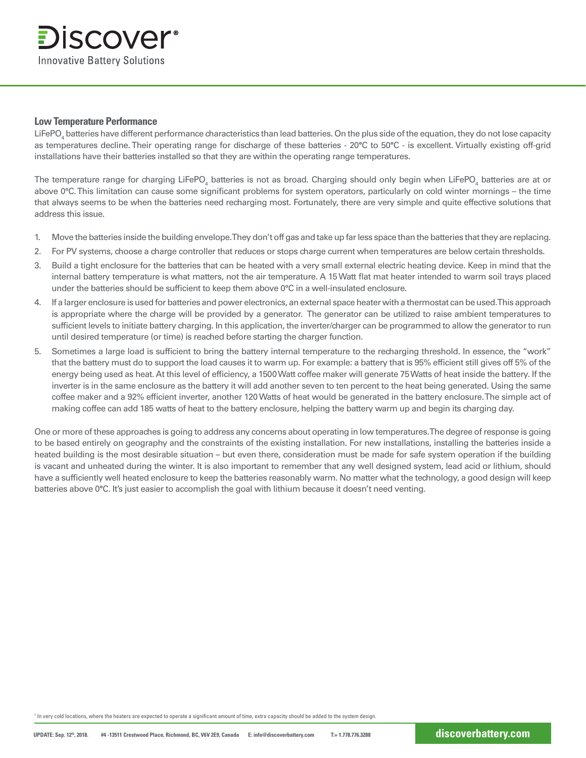#### **Low Temperature Performance**

LiFePO $_{\rm 4}$  batteries have different performance characteristics than lead batteries. On the plus side of the equation, they do not lose capacity as temperatures decline. Their operating range for discharge of these batteries - 20**°**C to 50**°**C - is excellent. Virtually existing off-grid installations have their batteries installed so that they are within the operating range temperatures.

The temperature range for charging LiFePO<sub>4</sub> batteries is not as broad. Charging should only begin when LiFePO<sub>4</sub> batteries are at or above 0°C. This limitation can cause some significant problems for system operators, particularly on cold winter mornings – the time that always seems to be when the batteries need recharging most. Fortunately, there are very simple and quite effective solutions that address this issue.

- 1. Move the batteries inside the building envelope. They don't off gas and take up far less space than the batteries that they are replacing.
- 2. For PV systems, choose a charge controller that reduces or stops charge current when temperatures are below certain thresholds.
- 3. Build a tight enclosure for the batteries that can be heated with a very small external electric heating device. Keep in mind that the internal battery temperature is what matters, not the air temperature. A 15 Watt flat mat heater intended to warm soil trays placed under the batteries should be sufficient to keep them above 0°C in a well-insulated enclosure.
- 4. If a larger enclosure is used for batteries and power electronics, an external space heater with a thermostat can be used. This approach is appropriate where the charge will be provided by a generator. The generator can be utilized to raise ambient temperatures to sufficient levels to initiate battery charging. In this application, the inverter/charger can be programmed to allow the generator to run until desired temperature (or time) is reached before starting the charger function.
- 5. Sometimes a large load is sufficient to bring the battery internal temperature to the recharging threshold. In essence, the "work" that the battery must do to support the load causes it to warm up. For example: a battery that is 95% efficient still gives off 5% of the energy being used as heat. At this level of efficiency, a 1500 Watt coffee maker will generate 75 Watts of heat inside the battery. If the inverter is in the same enclosure as the battery it will add another seven to ten percent to the heat being generated. Using the same coffee maker and a 92% efficient inverter, another 120 Watts of heat would be generated in the battery enclosure. The simple act of making coffee can add 185 watts of heat to the battery enclosure, helping the battery warm up and begin its charging day.

One or more of these approaches is going to address any concerns about operating in low temperatures. The degree of response is going to be based entirely on geography and the constraints of the existing installation. For new installations, installing the batteries inside a heated building is the most desirable situation – but even there, consideration must be made for safe system operation if the building is vacant and unheated during the winter. It is also important to remember that any well designed system, lead acid or lithium, should have a sufficiently well heated enclosure to keep the batteries reasonably warm. No matter what the technology, a good design will keep batteries above 0**°**C. It's just easier to accomplish the goal with lithium because it doesn't need venting.

1 In very cold locations, where the heaters are expected to operate a significant amount of time, extra capacity should be added to the system design.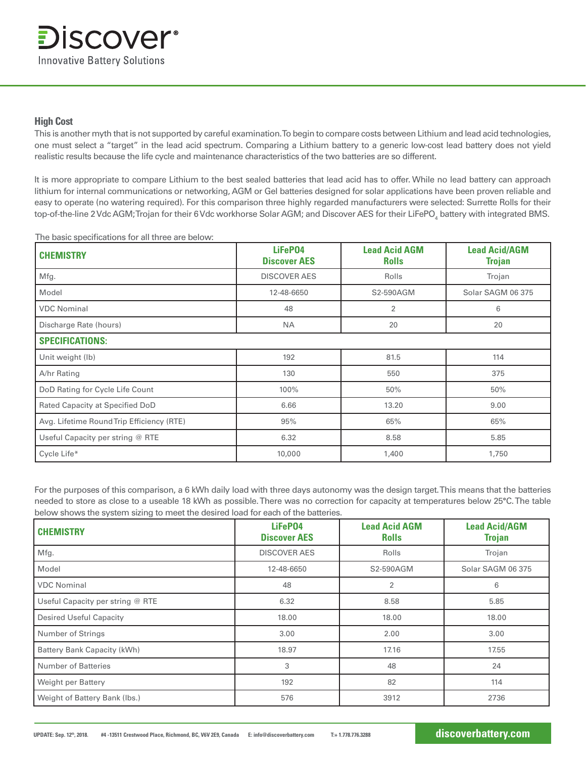#### **High Cost**

This is another myth that is not supported by careful examination. To begin to compare costs between Lithium and lead acid technologies, one must select a "target" in the lead acid spectrum. Comparing a Lithium battery to a generic low-cost lead battery does not yield realistic results because the life cycle and maintenance characteristics of the two batteries are so different.

It is more appropriate to compare Lithium to the best sealed batteries that lead acid has to offer. While no lead battery can approach lithium for internal communications or networking, AGM or Gel batteries designed for solar applications have been proven reliable and easy to operate (no watering required). For this comparison three highly regarded manufacturers were selected: Surrette Rolls for their top-of-the-line 2 Vdc AGM;Trojan for their 6 Vdc workhorse Solar AGM; and Discover AES for their LiFePO $_{\scriptscriptstyle 4}$  battery with integrated BMS.

| The basic specifications for all three are below: |                                |                                      |                                       |
|---------------------------------------------------|--------------------------------|--------------------------------------|---------------------------------------|
| <b>CHEMISTRY</b>                                  | LiFeP04<br><b>Discover AES</b> | <b>Lead Acid AGM</b><br><b>Rolls</b> | <b>Lead Acid/AGM</b><br><b>Trojan</b> |
| Mfg.                                              | <b>DISCOVER AES</b>            | Rolls                                | Trojan                                |
| Model                                             | 12-48-6650                     | S2-590AGM                            | Solar SAGM 06 375                     |
| <b>VDC Nominal</b>                                | 48                             | $\overline{2}$                       | 6                                     |
| Discharge Rate (hours)                            | <b>NA</b>                      | 20                                   | 20                                    |
| <b>SPECIFICATIONS:</b>                            |                                |                                      |                                       |
| Unit weight (lb)                                  | 192                            | 81.5                                 | 114                                   |
| A/hr Rating                                       | 130                            | 550                                  | 375                                   |
| DoD Rating for Cycle Life Count                   | 100%                           | 50%                                  | 50%                                   |
| Rated Capacity at Specified DoD                   | 6.66                           | 13.20                                | 9.00                                  |
| Avg. Lifetime Round Trip Efficiency (RTE)         | 95%                            | 65%                                  | 65%                                   |
| Useful Capacity per string @ RTE                  | 6.32                           | 8.58                                 | 5.85                                  |
| Cycle Life*                                       | 10,000                         | 1,400                                | 1,750                                 |

For the purposes of this comparison, a 6 kWh daily load with three days autonomy was the design target. This means that the batteries needed to store as close to a useable 18 kWh as possible. There was no correction for capacity at temperatures below 25**°**C. The table below shows the system sizing to meet the desired load for each of the batteries.

| <b>CHEMISTRY</b>                 | LiFeP04<br><b>Discover AES</b> | <b>Lead Acid AGM</b><br><b>Rolls</b> | <b>Lead Acid/AGM</b><br><b>Trojan</b> |
|----------------------------------|--------------------------------|--------------------------------------|---------------------------------------|
| Mfg.                             | <b>DISCOVER AES</b>            | Rolls                                | Trojan                                |
| Model                            | 12-48-6650                     | S2-590AGM                            | Solar SAGM 06 375                     |
| <b>VDC</b> Nominal               | 48                             | 2                                    | 6                                     |
| Useful Capacity per string @ RTE | 6.32                           | 8.58                                 | 5.85                                  |
| <b>Desired Useful Capacity</b>   | 18.00                          | 18.00                                | 18.00                                 |
| Number of Strings                | 3.00                           | 2.00                                 | 3.00                                  |
| Battery Bank Capacity (kWh)      | 18.97                          | 17.16                                | 17.55                                 |
| <b>Number of Batteries</b>       | 3                              | 48                                   | 24                                    |
| Weight per Battery               | 192                            | 82                                   | 114                                   |
| Weight of Battery Bank (Ibs.)    | 576                            | 3912                                 | 2736                                  |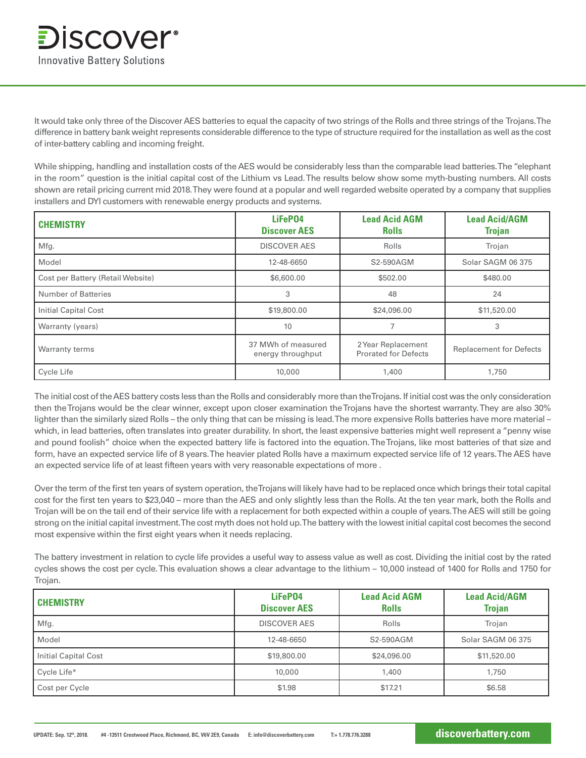It would take only three of the Discover AES batteries to equal the capacity of two strings of the Rolls and three strings of the Trojans. The difference in battery bank weight represents considerable difference to the type of structure required for the installation as well as the cost of inter-battery cabling and incoming freight.

While shipping, handling and installation costs of the AES would be considerably less than the comparable lead batteries. The "elephant in the room" question is the initial capital cost of the Lithium vs Lead. The results below show some myth-busting numbers. All costs shown are retail pricing current mid 2018. They were found at a popular and well regarded website operated by a company that supplies installers and DYI customers with renewable energy products and systems.

| <b>CHEMISTRY</b>                  | LiFeP04<br><b>Discover AES</b>          | <b>Lead Acid AGM</b><br><b>Rolls</b>              | <b>Lead Acid/AGM</b><br><b>Trojan</b> |
|-----------------------------------|-----------------------------------------|---------------------------------------------------|---------------------------------------|
| Mfg.                              | <b>DISCOVER AES</b>                     | Rolls                                             | Trojan                                |
| Model                             | 12-48-6650                              | S2-590AGM                                         | Solar SAGM 06 375                     |
| Cost per Battery (Retail Website) | \$6,600.00                              | \$502.00                                          | \$480.00                              |
| <b>Number of Batteries</b>        | 3                                       | 48                                                | 24                                    |
| <b>Initial Capital Cost</b>       | \$19,800.00                             | \$24,096.00                                       | \$11,520.00                           |
| Warranty (years)                  | 10                                      |                                                   | 3                                     |
| Warranty terms                    | 37 MWh of measured<br>energy throughput | 2 Year Replacement<br><b>Prorated for Defects</b> | <b>Replacement for Defects</b>        |
| Cycle Life                        | 10,000                                  | 1,400                                             | 1,750                                 |

The initial cost of the AES battery costs less than the Rolls and considerably more than the Trojans. If initial cost was the only consideration then the Trojans would be the clear winner, except upon closer examination the Trojans have the shortest warranty. They are also 30% lighter than the similarly sized Rolls – the only thing that can be missing is lead. The more expensive Rolls batteries have more material – which, in lead batteries, often translates into greater durability. In short, the least expensive batteries might well represent a "penny wise and pound foolish" choice when the expected battery life is factored into the equation. The Trojans, like most batteries of that size and form, have an expected service life of 8 years. The heavier plated Rolls have a maximum expected service life of 12 years. The AES have an expected service life of at least fifteen years with very reasonable expectations of more .

Over the term of the first ten years of system operation, the Trojans will likely have had to be replaced once which brings their total capital cost for the first ten years to \$23,040 – more than the AES and only slightly less than the Rolls. At the ten year mark, both the Rolls and Trojan will be on the tail end of their service life with a replacement for both expected within a couple of years. The AES will still be going strong on the initial capital investment. The cost myth does not hold up. The battery with the lowest initial capital cost becomes the second most expensive within the first eight years when it needs replacing.

The battery investment in relation to cycle life provides a useful way to assess value as well as cost. Dividing the initial cost by the rated cycles shows the cost per cycle. This evaluation shows a clear advantage to the lithium – 10,000 instead of 1400 for Rolls and 1750 for Trojan.

| <b>CHEMISTRY</b>     | LiFeP04<br><b>Discover AES</b> | <b>Lead Acid AGM</b><br><b>Rolls</b> | <b>Lead Acid/AGM</b><br><b>Trojan</b> |
|----------------------|--------------------------------|--------------------------------------|---------------------------------------|
| Mfg.                 | <b>DISCOVER AES</b>            | Rolls                                | Trojan                                |
| Model                | 12-48-6650                     | S2-590AGM                            | Solar SAGM 06 375                     |
| Initial Capital Cost | \$19,800.00                    | \$24,096.00                          | \$11,520.00                           |
| Cycle Life*          | 10,000                         | 1,400                                | 1,750                                 |
| Cost per Cycle       | \$1.98                         | \$17.21                              | \$6.58                                |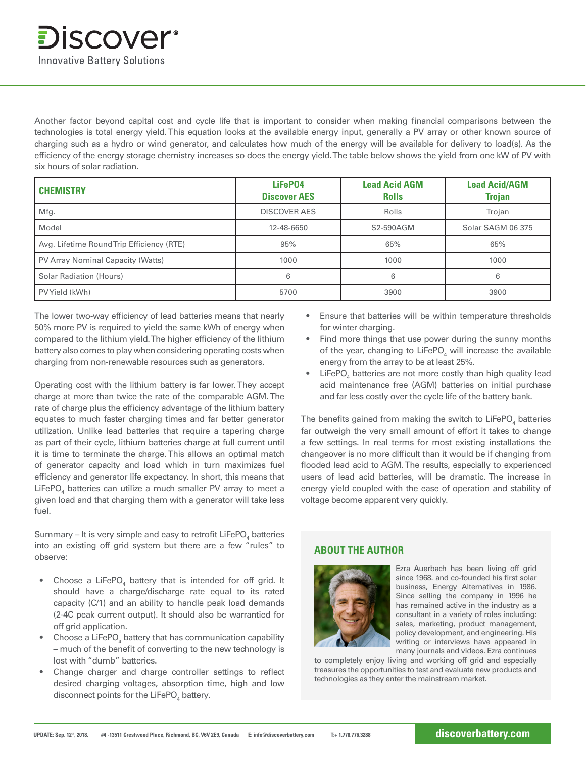Another factor beyond capital cost and cycle life that is important to consider when making financial comparisons between the technologies is total energy yield. This equation looks at the available energy input, generally a PV array or other known source of charging such as a hydro or wind generator, and calculates how much of the energy will be available for delivery to load(s). As the efficiency of the energy storage chemistry increases so does the energy yield. The table below shows the yield from one kW of PV with six hours of solar radiation.

| <b>CHEMISTRY</b>                          | LiFeP04<br><b>Discover AES</b> | <b>Lead Acid AGM</b><br><b>Rolls</b> | <b>Lead Acid/AGM</b><br><b>Trojan</b> |
|-------------------------------------------|--------------------------------|--------------------------------------|---------------------------------------|
| Mfg.                                      | <b>DISCOVER AES</b>            | Rolls                                | Trojan                                |
| Model                                     | 12-48-6650                     | S2-590AGM                            | Solar SAGM 06 375                     |
| Avg. Lifetime Round Trip Efficiency (RTE) | 95%                            | 65%                                  | 65%                                   |
| PV Array Nominal Capacity (Watts)         | 1000                           | 1000                                 | 1000                                  |
| <b>Solar Radiation (Hours)</b>            | 6                              | 6                                    |                                       |
| PV Yield (kWh)                            | 5700                           | 3900                                 | 3900                                  |

The lower two-way efficiency of lead batteries means that nearly 50% more PV is required to yield the same kWh of energy when compared to the lithium yield. The higher efficiency of the lithium battery also comes to play when considering operating costs when charging from non-renewable resources such as generators.

Operating cost with the lithium battery is far lower. They accept charge at more than twice the rate of the comparable AGM. The rate of charge plus the efficiency advantage of the lithium battery equates to much faster charging times and far better generator utilization. Unlike lead batteries that require a tapering charge as part of their cycle, lithium batteries charge at full current until it is time to terminate the charge. This allows an optimal match of generator capacity and load which in turn maximizes fuel efficiency and generator life expectancy. In short, this means that LiFePO<sub>4</sub> batteries can utilize a much smaller PV array to meet a given load and that charging them with a generator will take less fuel.

Summary – It is very simple and easy to retrofit  $\mathsf{LifePO}_4$  batteries into an existing off grid system but there are a few "rules" to observe:

- Choose a LiFePO<sub>4</sub> battery that is intended for off grid. It should have a charge/discharge rate equal to its rated capacity (C/1) and an ability to handle peak load demands (2-4C peak current output). It should also be warrantied for off grid application.
- $\bullet$  Choose a LiFePO $_4$  battery that has communication capability – much of the benefit of converting to the new technology is lost with "dumb" batteries.
- Change charger and charge controller settings to reflect desired charging voltages, absorption time, high and low disconnect points for the  $L$ iFePO<sub>4</sub> battery.
- Ensure that batteries will be within temperature thresholds for winter charging.
- Find more things that use power during the sunny months of the year, changing to  $L$ iFePO<sub>4</sub> will increase the available energy from the array to be at least 25%.
- $\bullet$  LiFePO<sub>4</sub> batteries are not more costly than high quality lead acid maintenance free (AGM) batteries on initial purchase and far less costly over the cycle life of the battery bank.

The benefits gained from making the switch to LiFePO $_{\scriptscriptstyle 4}$  batteries far outweigh the very small amount of effort it takes to change a few settings. In real terms for most existing installations the changeover is no more difficult than it would be if changing from flooded lead acid to AGM. The results, especially to experienced users of lead acid batteries, will be dramatic. The increase in energy yield coupled with the ease of operation and stability of voltage become apparent very quickly.

### **ABOUT THE AUTHOR**



Ezra Auerbach has been living off grid since 1968. and co-founded his first solar business, Energy Alternatives in 1986. Since selling the company in 1996 he has remained active in the industry as a consultant in a variety of roles including: sales, marketing, product management, policy development, and engineering. His writing or interviews have appeared in many journals and videos. Ezra continues

to completely enjoy living and working off grid and especially treasures the opportunities to test and evaluate new products and technologies as they enter the mainstream market.